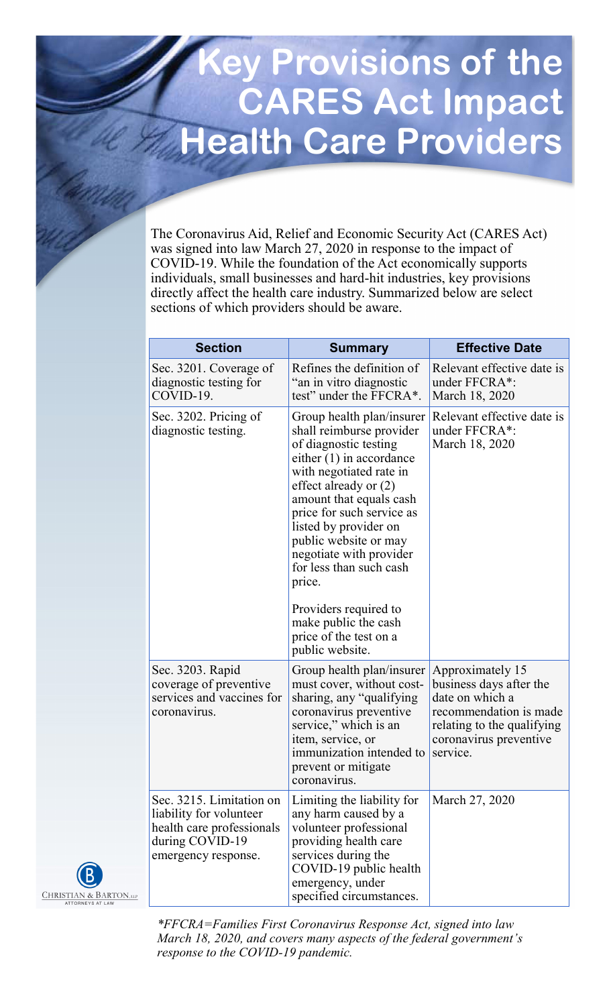## **Key Provisions of the CARES Act Impact Health Care Providers**

The Coronavirus Aid, Relief and Economic Security Act (CARES Act) was signed into law March 27, 2020 in response to the impact of COVID-19. While the foundation of the Act economically supports individuals, small businesses and hard-hit industries, key provisions directly affect the health care industry. Summarized below are select sections of which providers should be aware.

| <b>Section</b>                                                                                                             | <b>Summary</b>                                                                                                                                                                                                                                                                                                                             | <b>Effective Date</b>                                                                                                                                        |
|----------------------------------------------------------------------------------------------------------------------------|--------------------------------------------------------------------------------------------------------------------------------------------------------------------------------------------------------------------------------------------------------------------------------------------------------------------------------------------|--------------------------------------------------------------------------------------------------------------------------------------------------------------|
| Sec. 3201. Coverage of<br>diagnostic testing for<br>COVID-19.                                                              | Refines the definition of<br>"an in vitro diagnostic<br>test" under the FFCRA*.                                                                                                                                                                                                                                                            | Relevant effective date is<br>under FFCRA*:<br>March 18, 2020                                                                                                |
| Sec. 3202. Pricing of<br>diagnostic testing.                                                                               | Group health plan/insurer<br>shall reimburse provider<br>of diagnostic testing<br>either $(1)$ in accordance<br>with negotiated rate in<br>effect already or (2)<br>amount that equals cash<br>price for such service as<br>listed by provider on<br>public website or may<br>negotiate with provider<br>for less than such cash<br>price. | Relevant effective date is<br>under FFCRA*:<br>March 18, 2020                                                                                                |
|                                                                                                                            | Providers required to<br>make public the cash<br>price of the test on a<br>public website.                                                                                                                                                                                                                                                 |                                                                                                                                                              |
| Sec. 3203. Rapid<br>coverage of preventive<br>services and vaccines for<br>coronavirus.                                    | Group health plan/insurer<br>must cover, without cost-<br>sharing, any "qualifying<br>coronavirus preventive<br>service," which is an<br>item, service, or<br>immunization intended to<br>prevent or mitigate<br>coronavirus.                                                                                                              | Approximately 15<br>business days after the<br>date on which a<br>recommendation is made<br>relating to the qualifying<br>coronavirus preventive<br>service. |
| Sec. 3215. Limitation on<br>liability for volunteer<br>health care professionals<br>during COVID-19<br>emergency response. | Limiting the liability for<br>any harm caused by a<br>volunteer professional<br>providing health care<br>services during the<br>COVID-19 public health<br>emergency, under<br>specified circumstances.                                                                                                                                     | March 27, 2020                                                                                                                                               |

*\*FFCRA=Families First Coronavirus Response Act, signed into law March 18, 2020, and covers many aspects of the federal government's response to the COVID-19 pandemic.* 

CHRISTIAN & BARTON,LLI